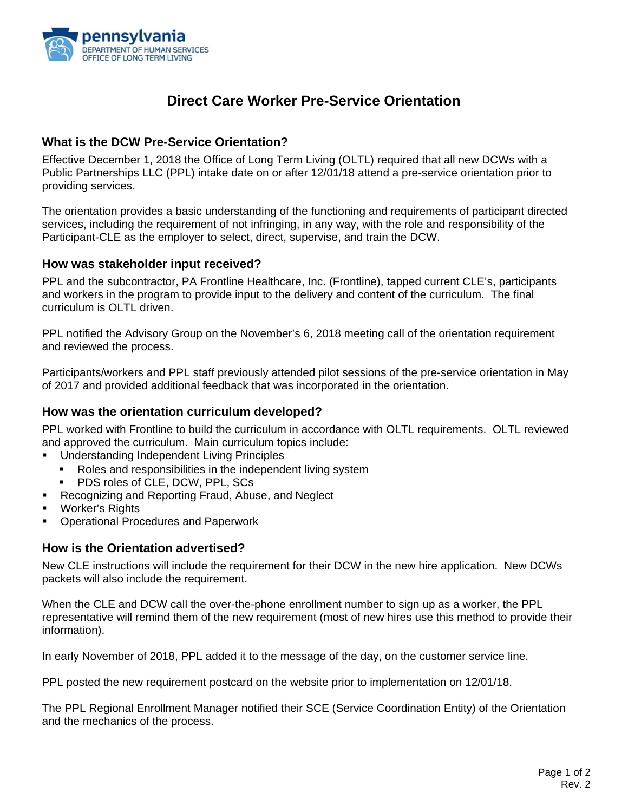

# **Direct Care Worker Pre-Service Orientation**

### **What is the DCW Pre-Service Orientation?**

Effective December 1, 2018 the Office of Long Term Living (OLTL) required that all new DCWs with a Public Partnerships LLC (PPL) intake date on or after 12/01/18 attend a pre-service orientation prior to providing services.

The orientation provides a basic understanding of the functioning and requirements of participant directed services, including the requirement of not infringing, in any way, with the role and responsibility of the Participant-CLE as the employer to select, direct, supervise, and train the DCW.

#### **How was stakeholder input received?**

PPL and the subcontractor, PA Frontline Healthcare, Inc. (Frontline), tapped current CLE's, participants and workers in the program to provide input to the delivery and content of the curriculum. The final curriculum is OLTL driven.

PPL notified the Advisory Group on the November's 6, 2018 meeting call of the orientation requirement and reviewed the process.

Participants/workers and PPL staff previously attended pilot sessions of the pre-service orientation in May of 2017 and provided additional feedback that was incorporated in the orientation.

#### **How was the orientation curriculum developed?**

PPL worked with Frontline to build the curriculum in accordance with OLTL requirements. OLTL reviewed and approved the curriculum. Main curriculum topics include:

- **Understanding Independent Living Principles** 
	- Roles and responsibilities in the independent living system
	- PDS roles of CLE, DCW, PPL, SCs
- **Recognizing and Reporting Fraud, Abuse, and Neglect**
- Worker's Rights
- **Operational Procedures and Paperwork**

#### **How is the Orientation advertised?**

New CLE instructions will include the requirement for their DCW in the new hire application. New DCWs packets will also include the requirement.

When the CLE and DCW call the over-the-phone enrollment number to sign up as a worker, the PPL representative will remind them of the new requirement (most of new hires use this method to provide their information).

In early November of 2018, PPL added it to the message of the day, on the customer service line.

PPL posted the new requirement postcard on the website prior to implementation on 12/01/18.

The PPL Regional Enrollment Manager notified their SCE (Service Coordination Entity) of the Orientation and the mechanics of the process.